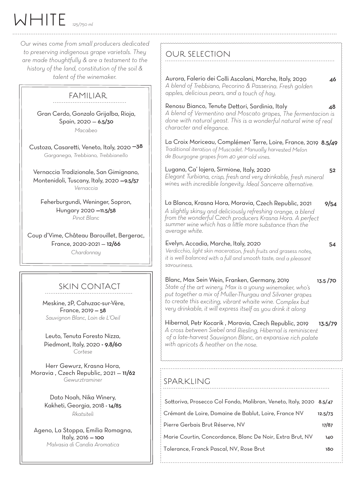WHITE *125/750 ml*

*Our wines come from small producers dedicated to preserving indigenous grape varietals. They are made thoughtfully & are a testament to the history of the land, constitution of the soil & talent of the winemaker.* 

## FAMILIAR

Gran Cerdo, Gonzalo Grijalba, Rioja, Spain, 2020 — 6.5/30 *Macabeo*

Custoza, Casaretti, Veneto, Italy, 2020 —38 *Garganega, Trebbiano, Trebbianello*

Vernaccia Tradizionale, San Gimignano, Montenidoli, Tuscany, Italy, 2020 —9.5/57 *Vernaccia*

Feherburgundi, Weninger, Sopron, Hungary 2020 —11.5/58 *Pinot Blanc*

Coup d'Vime, Château Barouillet, Bergerac, France, 2020-2021 — 12/66 *Chardonnay*

## SKIN CONTACT

Meskine, 2P, Cahuzac-sur-Vère, France, 2019 — 58 *Sauvignon Blanc, Loin de L'Oeil*

Leuto, Tenuta Foresto Nizza, Piedmont, Italy, 2020 - 9.8/60 *Cortese*

Herr Gewurz, Krasna Hora, Moravia , Czech Republic, 2021 — 11/62 *Gewurztraminer*

> Dato Noah, Nika Winery, Kakheti, Georgia, 2018 - 14/85 *Rkatsiteli*

Ageno, La Stoppa, Emilia Romagna, Italy, 2016 — 100 *Malvasia di Candia Aromatica*

| Aurora, Falerio dei Colli Ascolani, Marche, Italy, 2020<br>46<br>A blend of Trebbiano, Pecorino & Passerina. Fresh golden<br>apples, delicious pears, and a touch of hay.                                                                                              |
|------------------------------------------------------------------------------------------------------------------------------------------------------------------------------------------------------------------------------------------------------------------------|
| Renosu Bianco, Tenute Dettori, Sardinia, Italy<br>48<br>A blend of Vermentino and Moscato grapes, The fermentacion is<br>done with natural yeast. This is a wonderful natural wine of real<br>character and elegance.                                                  |
| La Croix Moriceau, Complémen' Terre, Loire, France, 2019 8.5/49<br>Traditional iteration of Muscadet. Manually harvested Melon<br>de Bourgogne grapes from 40 year-old vines.                                                                                          |
| Lugana, Ca' lojera, Sirmione, Italy, 2020<br>52<br>Elegant Turbiana, crisp, fresh and very drinkable, fresh mineral<br>wines with incredible longevity. Ideal Sancerre alternative.                                                                                    |
| La Blanca, Krasna Hora, Moravia, Czech Republic, 2021<br>9/54<br>A slightly skinsy and deliciously refreshing orange, a blend<br>from the wonderful Czech producers Krasna Hora. A perfect<br>summer wine which has a little more substance than the<br>average white. |
| Evelyn, Accadia, Marche, Italy, 2020<br>54<br>Verdicchio, light skin maceration, fresh fruits and grasess notes,<br>it is well balanced with a full and smooth taste, and a pleasant<br>savouriness.                                                                   |

Blanc, Max Sein Wein, Franken, Germany, 2019 13.5 /70 *State of the art winery, Max is a young winemaker, who's put together a mix of Muller-Thurgau and Silvaner grapes to create this exciting, vibrant whaite wine. Complex but very drinkable, it will express itself as you drink it along*

Hibernal, Petr Kocarik , Moravia, Czech Republic, 2019 13.5/<sup>79</sup> *A cross between Siebel and Riesling, Hibernal is reminiscent of a late-harvest Sauvignon Blanc, an expansive rich palate with apricots & heather on the nose.*

## SPARKLING

OUR SELECTION

| Sottoriva, Prosecco Col Fondo, Malibran, Veneto, Italy, 2020 8.5/47 |         |
|---------------------------------------------------------------------|---------|
| : Crémant de Loire, Domaine de Bablut, Loire, France NV             | 12.5/73 |
| : Pierre Gerbais Brut Réserve, NV                                   | 17/87   |
| Marie Courtin, Concordance, Blanc De Noir, Extra Brut, NV           | 140     |
| : Tolerance, Franck Pascal, NV, Rose Brut                           | 180     |
|                                                                     |         |